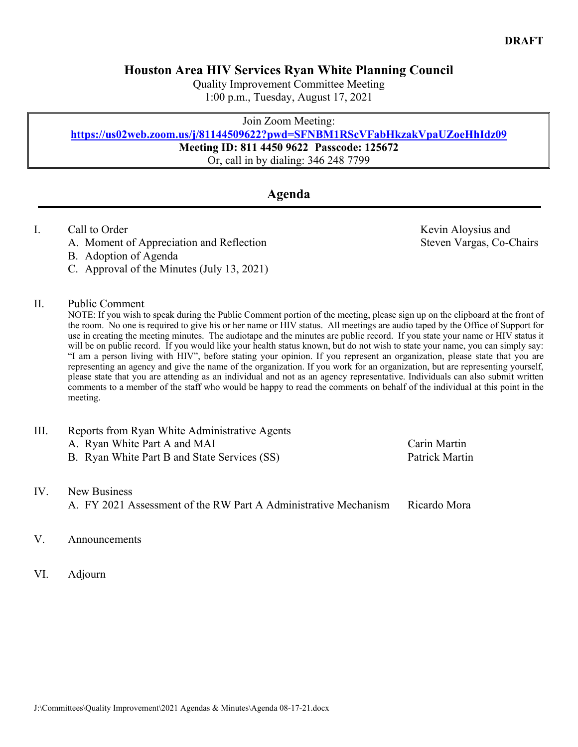## **Houston Area HIV Services Ryan White Planning Council**

Quality Improvement Committee Meeting 1:00 p.m., Tuesday, August 17, 2021

Join Zoom Meeting:

### **https://us02web.zoom.us/j/81144509622?pwd=SFNBM1RScVFabHkzakVpaUZoeHhIdz09**

**Meeting ID: 811 4450 9622 Passcode: 125672**

Or, call in by dialing: 346 248 7799

# **Agenda**

### I. Call to Order **Call to Order** Call to Order **Kevin Aloysius and**

- A. Moment of Appreciation and Reflection Steven Vargas, Co-Chairs
- B. Adoption of Agenda
- C. Approval of the Minutes (July 13, 2021)

### II. Public Comment

NOTE: If you wish to speak during the Public Comment portion of the meeting, please sign up on the clipboard at the front of the room. No one is required to give his or her name or HIV status. All meetings are audio taped by the Office of Support for use in creating the meeting minutes. The audiotape and the minutes are public record. If you state your name or HIV status it will be on public record. If you would like your health status known, but do not wish to state your name, you can simply say: "I am a person living with HIV", before stating your opinion. If you represent an organization, please state that you are representing an agency and give the name of the organization. If you work for an organization, but are representing yourself, please state that you are attending as an individual and not as an agency representative. Individuals can also submit written comments to a member of the staff who would be happy to read the comments on behalf of the individual at this point in the meeting.

| III. | Reports from Ryan White Administrative Agents |                |
|------|-----------------------------------------------|----------------|
|      | A. Ryan White Part A and MAI                  | Carin Martin   |
|      | B. Ryan White Part B and State Services (SS)  | Patrick Martin |
| IV.  | New Business                                  |                |

A. FY 2021 Assessment of the RW Part A Administrative Mechanism Ricardo Mora

#### V. Announcements

VI. Adjourn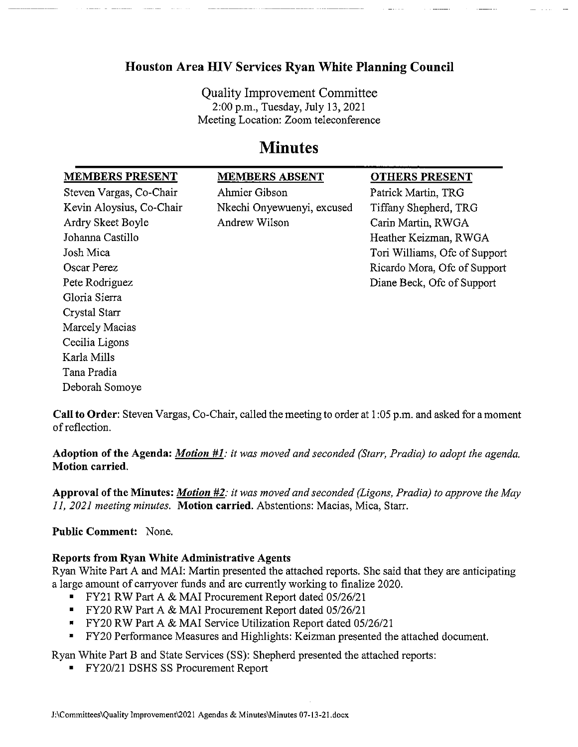# **Houston Area HIV Services Ryan White Planning Council**

**Quality Improvement Committee** 2:00 p.m., Tuesday, July 13, 2021 Meeting Location: Zoom teleconference

# **Minutes**

| <b>MEMBERS PRESENT</b>   | <b>MEMBERS ABSENT</b>      | <b>OTHERS PRESENT</b>         |
|--------------------------|----------------------------|-------------------------------|
| Steven Vargas, Co-Chair  | Ahmier Gibson              | Patrick Martin, TRG           |
| Kevin Aloysius, Co-Chair | Nkechi Onyewuenyi, excused | Tiffany Shepherd, TRG         |
| Ardry Skeet Boyle        | Andrew Wilson              | Carin Martin, RWGA            |
| Johanna Castillo         |                            | Heather Keizman, RWGA         |
| Josh Mica                |                            | Tori Williams, Ofc of Support |
| Oscar Perez              |                            | Ricardo Mora, Ofc of Support  |
| Pete Rodriguez           |                            | Diane Beck, Ofc of Support    |
| Gloria Sierra            |                            |                               |
| Crystal Starr            |                            |                               |
| Marcely Macias           |                            |                               |
| Cecilia Ligons           |                            |                               |
| Karla Mills              |                            |                               |
| Tana Pradia              |                            |                               |
| Deborah Somoye           |                            |                               |
|                          |                            |                               |

Call to Order: Steven Vargas, Co-Chair, called the meeting to order at 1:05 p.m. and asked for a moment of reflection.

Adoption of the Agenda: *Motion*  $#1$ *: it was moved and seconded (Starr, Pradia) to adopt the agenda.* Motion carried.

**Approval of the Minutes:** *Motion #2*: it was moved and seconded (Ligons, Pradia) to approve the May 11, 2021 meeting minutes. Motion carried. Abstentions: Macias, Mica, Starr.

**Public Comment: None.** 

### **Reports from Ryan White Administrative Agents**

Ryan White Part A and MAI: Martin presented the attached reports. She said that they are anticipating a large amount of carryover funds and are currently working to finalize 2020.

- " FY21 RW Part A & MAI Procurement Report dated 05/26/21
- FY20 RW Part A & MAI Procurement Report dated 05/26/21
- " FY20 RW Part A & MAI Service Utilization Report dated 05/26/21
- FY20 Performance Measures and Highlights: Keizman presented the attached document.

Ryan White Part B and State Services (SS): Shepherd presented the attached reports:

" FY20/21 DSHS SS Procurement Report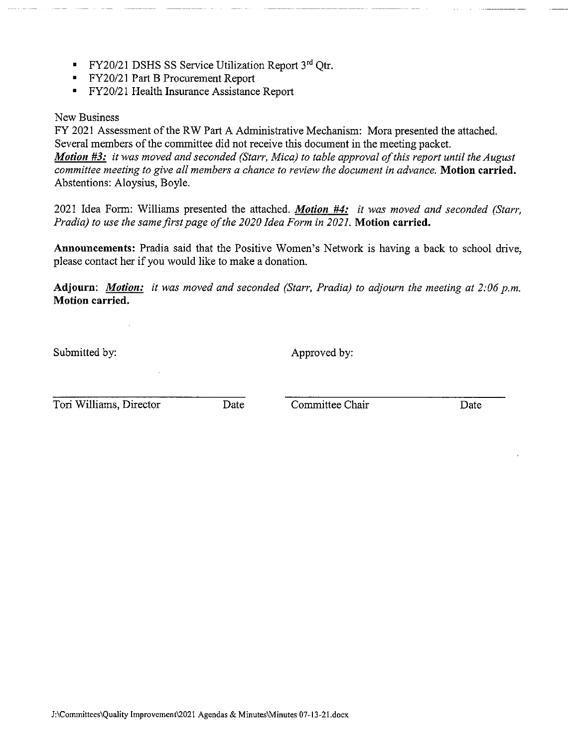- **FY20/21 DSHS SS Service Utilization Report 3rd Otr.**
- **FY20/21 Part B Procurement Report**
- FY20/21 Health Insurance Assistance Report

#### New Business

FY 2021 Assessment of the RW Part A Administrative Mechanism: Mora presented the attached. Several members of the committee did not receive this document in the meeting packet. Motion #3: it was moved and seconded (Starr, Mica) to table approval of this report until the August committee meeting to give all members a chance to review the document in advance. Motion carried. Abstentions: Aloysius, Boyle.

2021 Idea Form: Williams presented the attached. Motion #4: it was moved and seconded (Starr, Pradia) to use the same first page of the 2020 Idea Form in 2021. Motion carried.

Announcements: Pradia said that the Positive Women's Network is having a back to school drive, please contact her if you would like to make a donation.

**Adjourn:** Motion: it was moved and seconded (Starr, Pradia) to adjourn the meeting at 2:06 p.m. Motion carried.

Submitted by:

Approved by:

Tori Williams, Director

Date

Committee Chair

Date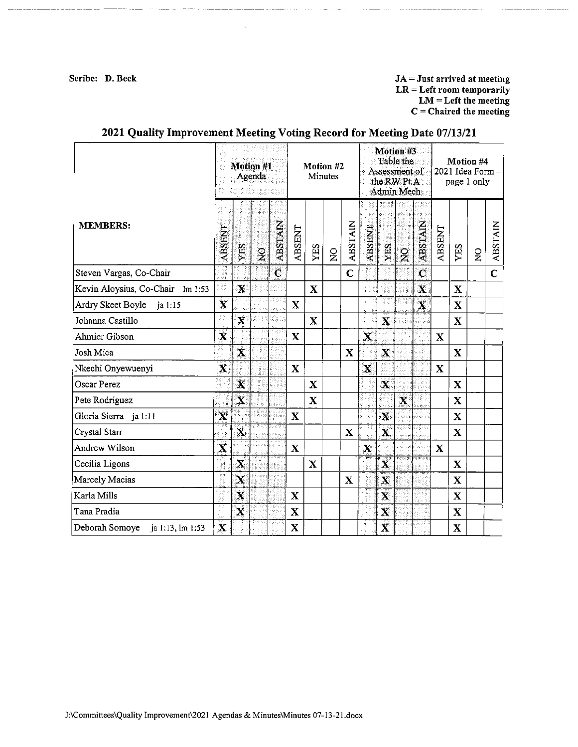Scribe: D. Beck

للقدام والمستفقات القادلية

 $JA = Just$  arrived at meeting  $LR = Left$  room temporarily  $LM = Left$  the meeting  $C =$ Chaired the meeting

|                                    |                         | Motion #1<br>Agenda     |               | Motion #2<br><b>Minutes</b> |              | Motion #3<br>Table the<br>Assessment of<br>the RW Pt A<br>Admin Mech |                |                |                         | Motion #4<br>2021 Idea Form -<br>page 1 only |                |                |                         |              |                       |                |
|------------------------------------|-------------------------|-------------------------|---------------|-----------------------------|--------------|----------------------------------------------------------------------|----------------|----------------|-------------------------|----------------------------------------------|----------------|----------------|-------------------------|--------------|-----------------------|----------------|
| <b>MEMBERS:</b>                    | <b>ABSENT</b>           | УES                     | $\frac{6}{2}$ | <b>ABSTAIN</b>              | ABSENT       | YES                                                                  | $\overline{z}$ | <b>ABSTAIN</b> | ABSENT                  | YES                                          | $\overline{2}$ | <b>ABSTAIN</b> | ABSENT                  | YES          | $\mathbf{S}^{\prime}$ | <b>ABSTAIN</b> |
| Steven Vargas, Co-Chair            |                         |                         |               | $\overline{\mathbf{C}}$     |              |                                                                      |                | $\overline{C}$ |                         |                                              |                | $\mathbf C$    |                         |              |                       | $\overline{C}$ |
| Kevin Aloysius, Co-Chair lm 1:53   |                         | $\mathbf x$             |               |                             |              | $\mathbf X$                                                          |                |                |                         |                                              |                | $\mathbf{X}$   |                         | $\mathbf x$  |                       |                |
| Ardry Skeet Boyle ja 1:15          | $\mathbf x$             |                         |               |                             | $\mathbf x$  |                                                                      |                |                |                         |                                              |                | $\mathbf{X}$   |                         | $\mathbf X$  |                       |                |
| Johanna Castillo                   |                         | $\overline{\mathbf{X}}$ |               |                             |              | $\mathbf{X}$                                                         |                |                |                         | $\mathbf X$                                  |                |                |                         | X            |                       |                |
| Ahmier Gibson                      | $\overline{\mathbf{X}}$ |                         |               |                             | $\mathbf X$  |                                                                      |                |                | $\overline{\mathbf{X}}$ |                                              |                |                | $\mathbf{X}$            |              |                       |                |
| Josh Mica                          |                         | $\mathbf{x}$            |               |                             |              |                                                                      |                | X              |                         | $\overline{\mathbf{X}}$                      |                |                |                         | $\mathbf{X}$ |                       |                |
| Nkechi Onyewuenyi                  | $\overline{\mathbf{x}}$ |                         |               |                             | $\mathbf X$  |                                                                      |                |                | $\mathbf x$             |                                              |                |                | $\overline{\mathbf{X}}$ |              |                       |                |
| Oscar Perez                        |                         | $\overline{\mathbf{X}}$ |               |                             |              | $\mathbf X$                                                          |                |                |                         | $\mathbf x$                                  |                |                |                         | $\mathbf X$  |                       |                |
| Pete Rodriguez                     |                         | $\overline{\mathbf{X}}$ |               |                             |              | $\mathbf x$                                                          |                |                |                         |                                              | $\mathbf{x}$   |                |                         | $\mathbf X$  |                       |                |
| Gloria Sierra ja 1:11              | $\dot{\mathbf{x}}$      |                         |               |                             | $\mathbf X$  |                                                                      |                |                |                         | $\overline{\mathbf{X}}$                      |                |                |                         | $\mathbf X$  |                       |                |
| Crystal Starr                      |                         | $\mathbf{x}$            |               |                             |              |                                                                      |                | $\mathbf X$    |                         | $\mathbf X$                                  |                |                |                         | $\mathbf x$  |                       |                |
| Andrew Wilson                      | $\overline{\mathbf{X}}$ |                         |               |                             | $\mathbf X$  |                                                                      |                |                | $\overline{\mathbf{X}}$ |                                              |                |                | $\mathbf X$             |              |                       |                |
| Cecilia Ligons                     |                         | $\overline{\mathbf{X}}$ |               |                             |              | $\mathbf X$                                                          |                |                |                         | $\mathbf x$                                  |                |                |                         | $\mathbf X$  |                       |                |
| Marcely Macias                     |                         | $\mathbf x$             |               |                             |              |                                                                      |                | X              |                         | $\mathbf x$                                  |                |                |                         | $\mathbf X$  |                       |                |
| Karla Mills                        |                         | $\overline{\mathbf{X}}$ |               |                             | $\mathbf X$  |                                                                      |                |                |                         | $\mathbf X$                                  |                |                |                         | $\mathbf X$  |                       |                |
| Tana Pradia                        |                         | $\mathbf x$             |               |                             | $\mathbf{X}$ |                                                                      |                |                |                         | $\overline{\mathbf{X}}$                      |                |                |                         | $\mathbf X$  |                       |                |
| Deborah Somoye<br>ja 1:13, lm 1:53 | $\mathbf{x}$            |                         |               |                             | $\mathbf X$  |                                                                      |                |                |                         | $\dot{\mathbf{X}}$                           |                |                |                         | $\mathbf X$  |                       |                |

# 2021 Quality Improvement Meeting Voting Record for Meeting Date 07/13/21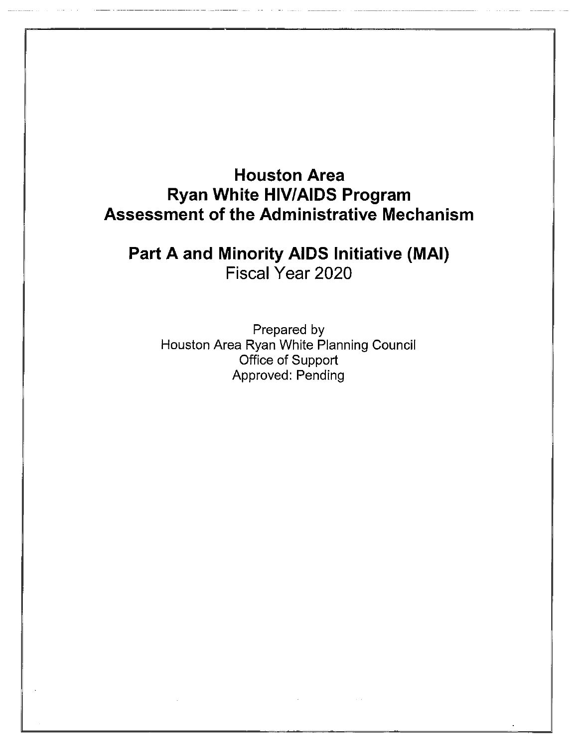# **Houston Area Ryan White HIV/AIDS Program Assessment of the Administrative Mechanism**

Part A and Minority AIDS Initiative (MAI) Fiscal Year 2020

Prepared by Houston Area Ryan White Planning Council Office of Support Approved: Pending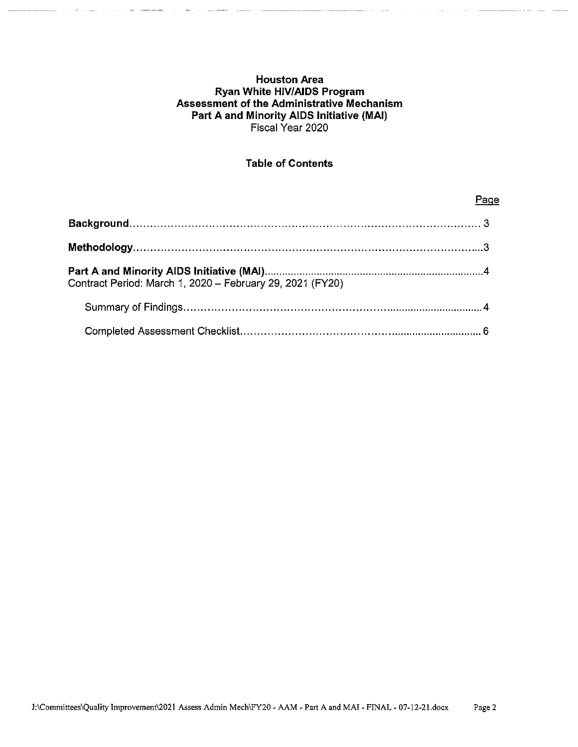#### **Houston Area Ryan White HIV/AIDS Program** Assessment of the Administrative Mechanism Part A and Minority AIDS Initiative (MAI) Fiscal Year 2020

# **Table of Contents**

| Contract Period: March 1, 2020 - February 29, 2021 (FY20) |  |
|-----------------------------------------------------------|--|
|                                                           |  |
|                                                           |  |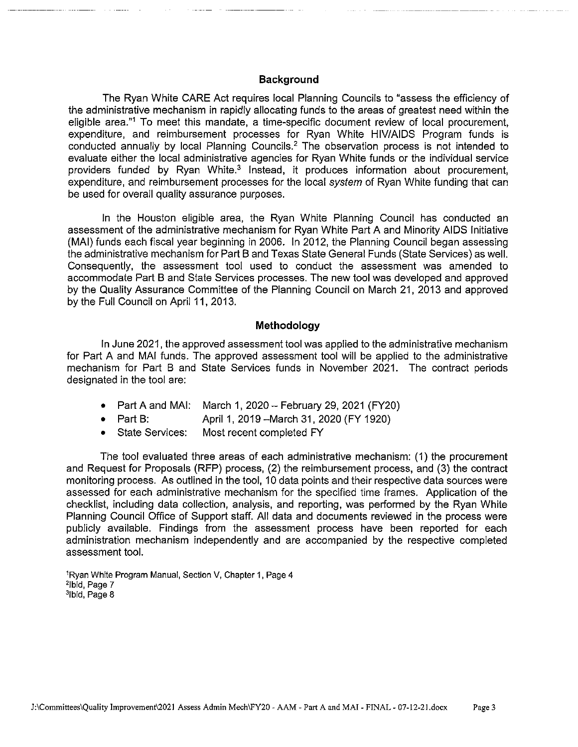#### **Background**

The Ryan White CARE Act requires local Planning Councils to "assess the efficiency of the administrative mechanism in rapidly allocating funds to the areas of greatest need within the eligible area."<sup>1</sup> To meet this mandate, a time-specific document review of local procurement, expenditure, and reimbursement processes for Ryan White HIV/AIDS Program funds is conducted annually by local Planning Councils.<sup>2</sup> The observation process is not intended to evaluate either the local administrative agencies for Ryan White funds or the individual service providers funded by Ryan White.<sup>3</sup> Instead, it produces information about procurement, expenditure, and reimbursement processes for the local system of Ryan White funding that can be used for overall quality assurance purposes.

In the Houston eligible area, the Ryan White Planning Council has conducted an assessment of the administrative mechanism for Ryan White Part A and Minority AIDS Initiative (MAI) funds each fiscal year beginning in 2006. In 2012, the Planning Council began assessing the administrative mechanism for Part B and Texas State General Funds (State Services) as well. Consequently, the assessment tool used to conduct the assessment was amended to accommodate Part B and State Services processes. The new tool was developed and approved by the Quality Assurance Committee of the Planning Council on March 21, 2013 and approved by the Full Council on April 11, 2013.

#### Methodology

In June 2021, the approved assessment tool was applied to the administrative mechanism for Part A and MAI funds. The approved assessment tool will be applied to the administrative mechanism for Part B and State Services funds in November 2021. The contract periods designated in the tool are:

- Part A and MAI: March 1, 2020 February 29, 2021 (FY20)
- $\bullet$  Part B: April 1, 2019 - March 31, 2020 (FY 1920)
- **State Services:** Most recent completed FY

The tool evaluated three areas of each administrative mechanism: (1) the procurement and Request for Proposals (RFP) process, (2) the reimbursement process, and (3) the contract monitoring process. As outlined in the tool, 10 data points and their respective data sources were assessed for each administrative mechanism for the specified time frames. Application of the checklist, including data collection, analysis, and reporting, was performed by the Ryan White Planning Council Office of Support staff. All data and documents reviewed in the process were publicly available. Findings from the assessment process have been reported for each administration mechanism independently and are accompanied by the respective completed assessment tool.

<sup>1</sup>Ryan White Program Manual, Section V, Chapter 1, Page 4 <sup>2</sup>lbid, Page 7 <sup>3</sup>Ibid, Page 8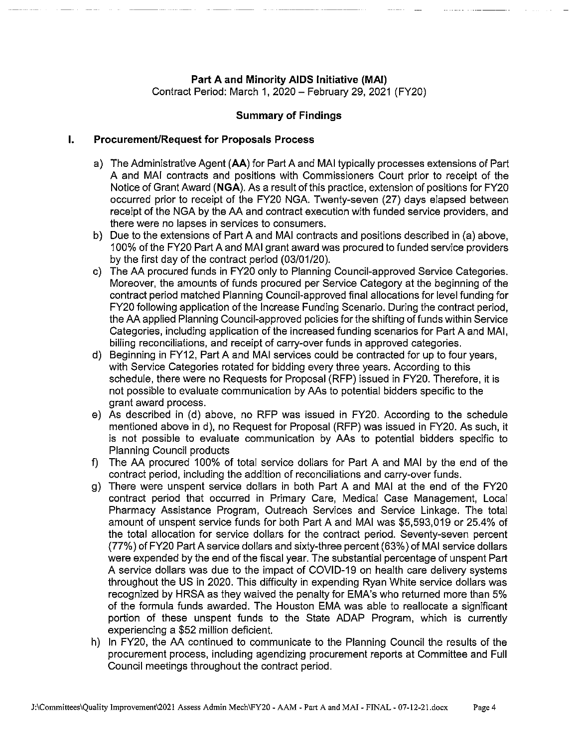### Part A and Minority AIDS Initiative (MAI)

Contract Period: March 1, 2020 - February 29, 2021 (FY20)

#### **Summary of Findings**

#### $\mathbf{L}$ **Procurement/Request for Proposals Process**

- a) The Administrative Agent (AA) for Part A and MAI typically processes extensions of Part A and MAI contracts and positions with Commissioners Court prior to receipt of the Notice of Grant Award (NGA). As a result of this practice, extension of positions for FY20 occurred prior to receipt of the FY20 NGA. Twenty-seven (27) days elapsed between receipt of the NGA by the AA and contract execution with funded service providers, and there were no lapses in services to consumers.
- b) Due to the extensions of Part A and MAI contracts and positions described in (a) above. 100% of the FY20 Part A and MAI grant award was procured to funded service providers by the first day of the contract period (03/01/20).
- c) The AA procured funds in FY20 only to Planning Council-approved Service Categories. Moreover, the amounts of funds procured per Service Category at the beginning of the contract period matched Planning Council-approved final allocations for level funding for FY20 following application of the Increase Funding Scenario. During the contract period, the AA applied Planning Council-approved policies for the shifting of funds within Service Categories, including application of the increased funding scenarios for Part A and MAI. billing reconciliations, and receipt of carry-over funds in approved categories.
- d) Beginning in FY12, Part A and MAI services could be contracted for up to four years, with Service Categories rotated for bidding every three years. According to this schedule, there were no Requests for Proposal (RFP) issued in FY20. Therefore, it is not possible to evaluate communication by AAs to potential bidders specific to the grant award process.
- e) As described in (d) above, no RFP was issued in FY20. According to the schedule mentioned above in d), no Request for Proposal (RFP) was issued in FY20. As such, it is not possible to evaluate communication by AAs to potential bidders specific to **Planning Council products**
- f) The AA procured 100% of total service dollars for Part A and MAI by the end of the contract period, including the addition of reconciliations and carry-over funds.
- g) There were unspent service dollars in both Part A and MAI at the end of the FY20 contract period that occurred in Primary Care, Medical Case Management, Local Pharmacy Assistance Program, Outreach Services and Service Linkage. The total amount of unspent service funds for both Part A and MAI was \$5,593,019 or 25.4% of the total allocation for service dollars for the contract period. Seventy-seven percent (77%) of FY20 Part A service dollars and sixty-three percent (63%) of MAI service dollars were expended by the end of the fiscal year. The substantial percentage of unspent Part A service dollars was due to the impact of COVID-19 on health care delivery systems throughout the US in 2020. This difficulty in expending Ryan White service dollars was recognized by HRSA as they waived the penalty for EMA's who returned more than 5% of the formula funds awarded. The Houston EMA was able to reallocate a significant portion of these unspent funds to the State ADAP Program, which is currently experiencing a \$52 million deficient.
- h) In FY20, the AA continued to communicate to the Planning Council the results of the procurement process, including agendizing procurement reports at Committee and Full Council meetings throughout the contract period.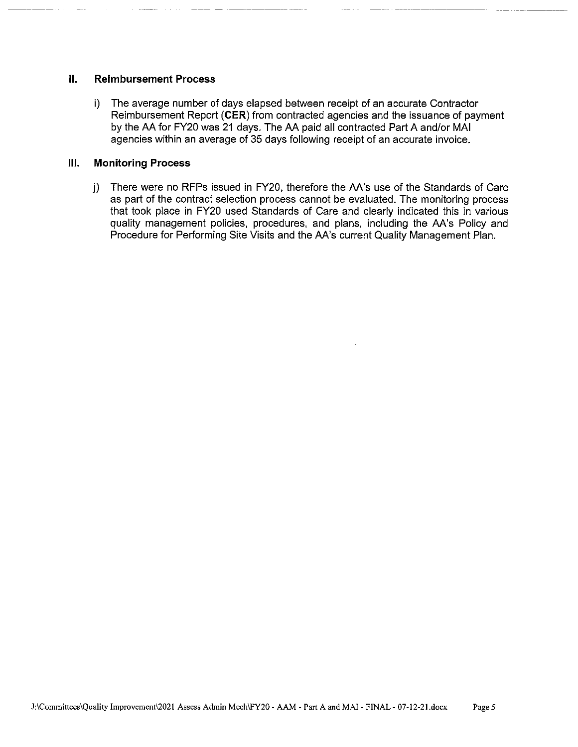#### Ⅱ. **Reimbursement Process**

i) The average number of days elapsed between receipt of an accurate Contractor Reimbursement Report (CER) from contracted agencies and the issuance of payment by the AA for FY20 was 21 days. The AA paid all contracted Part A and/or MAI agencies within an average of 35 days following receipt of an accurate invoice.

#### Ш. **Monitoring Process**

j) There were no RFPs issued in FY20, therefore the AA's use of the Standards of Care as part of the contract selection process cannot be evaluated. The monitoring process that took place in FY20 used Standards of Care and clearly indicated this in various quality management policies, procedures, and plans, including the AA's Policy and Procedure for Performing Site Visits and the AA's current Quality Management Plan.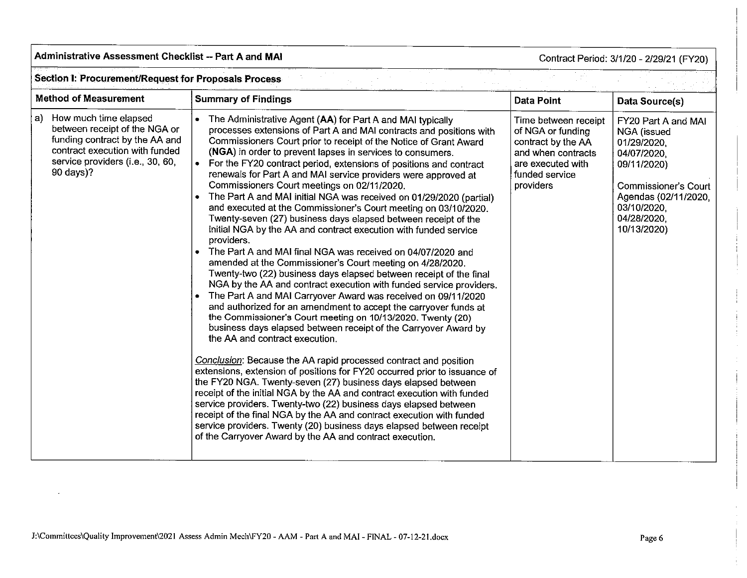#### Administrative Assessment Checklist -- Part A and MAI

Contract Period: 3/1/20 - 2/29/21 (FY20)

 $\frac{1}{2} \left( \frac{1}{2} \delta^2 \right)$ 

 $\mathcal{L}_{\text{max}}$ 

i sh

#### **Section I: Procurement/Request for Proposals Process**

| <b>Method of Measurement</b>                                                                                                                                                      | <b>Summary of Findings</b>                                                                                                                                                                                                                                                                                                                                                                                                                                                                                                                                                                                                                                                                                                                                                                                                                                                                                                                                                                                                                                                                                                                                                                                                                                                                                                                                                                                                                                                                                                                                                                                                                                                                                                                                                                                                                                                                                                | <b>Data Point</b>                                                                                                                         | Data Source(s)                                                                                                                                                                             |  |  |
|-----------------------------------------------------------------------------------------------------------------------------------------------------------------------------------|---------------------------------------------------------------------------------------------------------------------------------------------------------------------------------------------------------------------------------------------------------------------------------------------------------------------------------------------------------------------------------------------------------------------------------------------------------------------------------------------------------------------------------------------------------------------------------------------------------------------------------------------------------------------------------------------------------------------------------------------------------------------------------------------------------------------------------------------------------------------------------------------------------------------------------------------------------------------------------------------------------------------------------------------------------------------------------------------------------------------------------------------------------------------------------------------------------------------------------------------------------------------------------------------------------------------------------------------------------------------------------------------------------------------------------------------------------------------------------------------------------------------------------------------------------------------------------------------------------------------------------------------------------------------------------------------------------------------------------------------------------------------------------------------------------------------------------------------------------------------------------------------------------------------------|-------------------------------------------------------------------------------------------------------------------------------------------|--------------------------------------------------------------------------------------------------------------------------------------------------------------------------------------------|--|--|
| How much time elapsed<br>a)<br>between receipt of the NGA or<br>funding contract by the AA and<br>contract execution with funded<br>service providers (i.e., 30, 60,<br>90 days)? | The Administrative Agent (AA) for Part A and MAI typically<br>processes extensions of Part A and MAI contracts and positions with<br>Commissioners Court prior to receipt of the Notice of Grant Award<br>(NGA) in order to prevent lapses in services to consumers.<br>For the FY20 contract period, extensions of positions and contract<br>renewals for Part A and MAI service providers were approved at<br>Commissioners Court meetings on 02/11/2020.<br>The Part A and MAI initial NGA was received on 01/29/2020 (partial)<br>and executed at the Commissioner's Court meeting on 03/10/2020.<br>Twenty-seven (27) business days elapsed between receipt of the<br>initial NGA by the AA and contract execution with funded service<br>providers.<br>The Part A and MAI final NGA was received on 04/07/2020 and<br>amended at the Commissioner's Court meeting on 4/28/2020.<br>Twenty-two (22) business days elapsed between receipt of the final<br>NGA by the AA and contract execution with funded service providers.<br>The Part A and MAI Carryover Award was received on 09/11/2020<br>and authorized for an amendment to accept the carryover funds at<br>the Commissioner's Court meeting on 10/13/2020. Twenty (20)<br>business days elapsed between receipt of the Carryover Award by<br>the AA and contract execution.<br>Conclusion: Because the AA rapid processed contract and position<br>extensions, extension of positions for FY20 occurred prior to issuance of<br>the FY20 NGA. Twenty-seven (27) business days elapsed between<br>receipt of the initial NGA by the AA and contract execution with funded<br>service providers. Twenty-two (22) business days elapsed between<br>receipt of the final NGA by the AA and contract execution with funded<br>service providers. Twenty (20) business days elapsed between receipt<br>of the Carryover Award by the AA and contract execution. | Time between receipt<br>of NGA or funding<br>contract by the AA<br>and when contracts<br>are executed with<br>funded service<br>providers | FY20 Part A and MAI<br><b>NGA</b> (issued<br>01/29/2020.<br>04/07/2020.<br>09/11/2020)<br><b>Commissioner's Court</b><br>Agendas (02/11/2020,<br>03/10/2020,<br>04/28/2020,<br>10/13/2020) |  |  |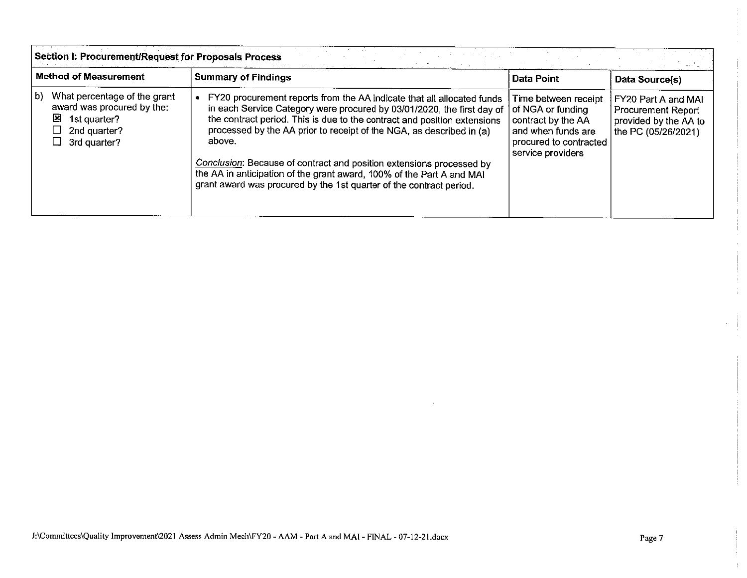|                                                                                                                       | <b>Section I: Procurement/Request for Proposals Process</b>                                                                                                                                                                                                                                                                                                                                                                                                                                                                            |                                                                                                                                      |                                                                                           |  |  |
|-----------------------------------------------------------------------------------------------------------------------|----------------------------------------------------------------------------------------------------------------------------------------------------------------------------------------------------------------------------------------------------------------------------------------------------------------------------------------------------------------------------------------------------------------------------------------------------------------------------------------------------------------------------------------|--------------------------------------------------------------------------------------------------------------------------------------|-------------------------------------------------------------------------------------------|--|--|
| <b>Method of Measurement</b>                                                                                          | <b>Summary of Findings</b>                                                                                                                                                                                                                                                                                                                                                                                                                                                                                                             | <b>Data Point</b>                                                                                                                    | Data Source(s)                                                                            |  |  |
| What percentage of the grant<br>b)<br>award was procured by the:<br>⊠<br>1st quarter?<br>2nd quarter?<br>3rd quarter? | FY20 procurement reports from the AA indicate that all allocated funds<br>in each Service Category were procured by 03/01/2020, the first day of<br>the contract period. This is due to the contract and position extensions<br>processed by the AA prior to receipt of the NGA, as described in (a)<br>above.<br>Conclusion: Because of contract and position extensions processed by<br>the AA in anticipation of the grant award, 100% of the Part A and MAI<br>grant award was procured by the 1st quarter of the contract period. | Time between receipt<br>of NGA or funding<br>contract by the AA<br>and when funds are<br>procured to contracted<br>service providers | FY20 Part A and MAI<br>Procurement Report<br>provided by the AA to<br>the PC (05/26/2021) |  |  |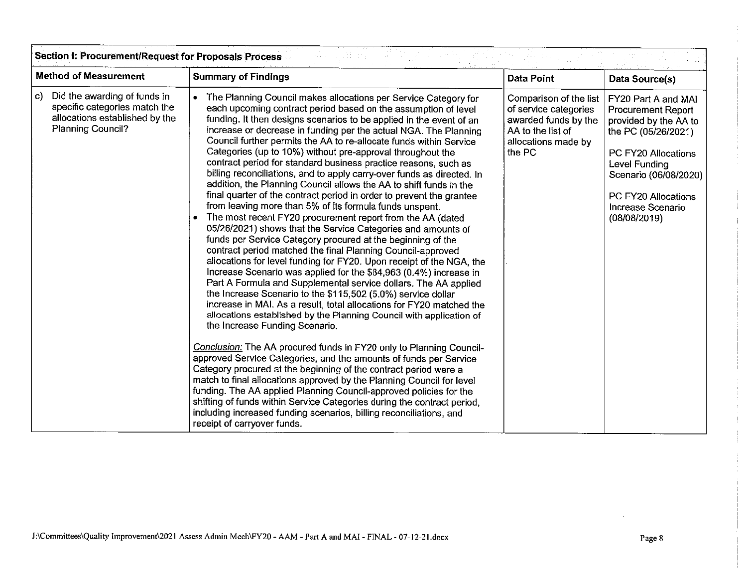| Section I: Procurement/Request for Proposals Process<br>$\sim 100\,M_\odot$                                                       |                                                                                                                                                                                                                                                                                                                                                                                                                                                                                                                                                                                                                                                                                                                                                                                                                                                                                                                                                                                                                                                                                                                                                                                                                                                                                                                                                                                                                                                                                                                                                                                                                                                                                                                                                                                                                                                                                                                                                                                                                                                     |                                                                                                                               |                                                                                                                                                                                                                               |  |  |  |
|-----------------------------------------------------------------------------------------------------------------------------------|-----------------------------------------------------------------------------------------------------------------------------------------------------------------------------------------------------------------------------------------------------------------------------------------------------------------------------------------------------------------------------------------------------------------------------------------------------------------------------------------------------------------------------------------------------------------------------------------------------------------------------------------------------------------------------------------------------------------------------------------------------------------------------------------------------------------------------------------------------------------------------------------------------------------------------------------------------------------------------------------------------------------------------------------------------------------------------------------------------------------------------------------------------------------------------------------------------------------------------------------------------------------------------------------------------------------------------------------------------------------------------------------------------------------------------------------------------------------------------------------------------------------------------------------------------------------------------------------------------------------------------------------------------------------------------------------------------------------------------------------------------------------------------------------------------------------------------------------------------------------------------------------------------------------------------------------------------------------------------------------------------------------------------------------------------|-------------------------------------------------------------------------------------------------------------------------------|-------------------------------------------------------------------------------------------------------------------------------------------------------------------------------------------------------------------------------|--|--|--|
| <b>Method of Measurement</b>                                                                                                      | <b>Summary of Findings</b>                                                                                                                                                                                                                                                                                                                                                                                                                                                                                                                                                                                                                                                                                                                                                                                                                                                                                                                                                                                                                                                                                                                                                                                                                                                                                                                                                                                                                                                                                                                                                                                                                                                                                                                                                                                                                                                                                                                                                                                                                          | <b>Data Point</b>                                                                                                             | Data Source(s)                                                                                                                                                                                                                |  |  |  |
| Did the awarding of funds in<br>C)<br>specific categories match the<br>allocations established by the<br><b>Planning Council?</b> | The Planning Council makes allocations per Service Category for<br>each upcoming contract period based on the assumption of level<br>funding. It then designs scenarios to be applied in the event of an<br>increase or decrease in funding per the actual NGA. The Planning<br>Council further permits the AA to re-allocate funds within Service<br>Categories (up to 10%) without pre-approval throughout the<br>contract period for standard business practice reasons, such as<br>billing reconciliations, and to apply carry-over funds as directed. In<br>addition, the Planning Council allows the AA to shift funds in the<br>final quarter of the contract period in order to prevent the grantee<br>from leaving more than 5% of its formula funds unspent.<br>The most recent FY20 procurement report from the AA (dated<br>05/26/2021) shows that the Service Categories and amounts of<br>funds per Service Category procured at the beginning of the<br>contract period matched the final Planning Council-approved<br>allocations for level funding for FY20. Upon receipt of the NGA, the<br>Increase Scenario was applied for the \$84,963 (0.4%) increase in<br>Part A Formula and Supplemental service dollars. The AA applied<br>the Increase Scenario to the \$115,502 (5.0%) service dollar<br>increase in MAI. As a result, total allocations for FY20 matched the<br>allocations established by the Planning Council with application of<br>the Increase Funding Scenario.<br>Conclusion: The AA procured funds in FY20 only to Planning Council-<br>approved Service Categories, and the amounts of funds per Service<br>Category procured at the beginning of the contract period were a<br>match to final allocations approved by the Planning Council for level<br>funding. The AA applied Planning Council-approved policies for the<br>shifting of funds within Service Categories during the contract period,<br>including increased funding scenarios, billing reconciliations, and<br>receipt of carryover funds. | Comparison of the list<br>of service categories<br>awarded funds by the<br>AA to the list of<br>allocations made by<br>the PC | FY20 Part A and MAI<br><b>Procurement Report</b><br>provided by the AA to<br>the PC (05/26/2021)<br>PC FY20 Allocations<br>Level Funding<br>Scenario (06/08/2020)<br>PC FY20 Allocations<br>Increase Scenario<br>(08/08/2019) |  |  |  |

 $\bar{z}$ 

÷.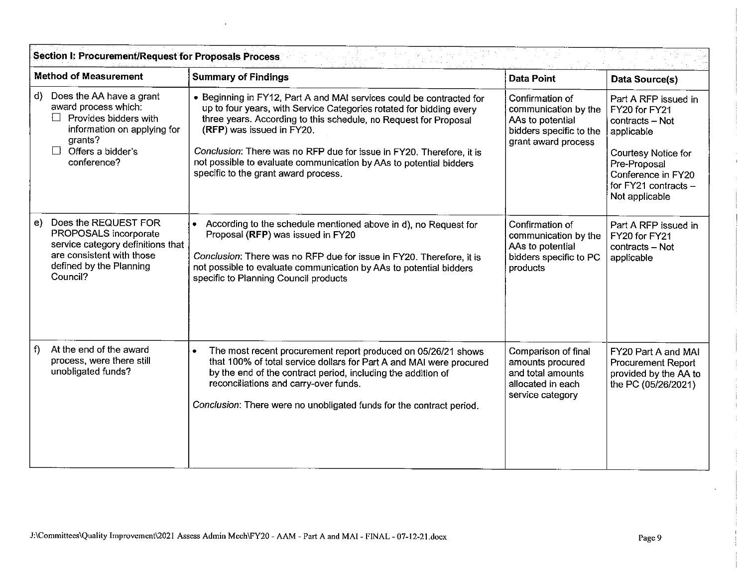|              | <b>Method of Measurement</b>                                                                                                                                              | <b>Summary of Findings</b>                                                                                                                                                                                                                                                                                                                                                                                                         | <b>Data Point</b>                                                                                             | Data Source(s)                                                                                                                                                                |  |
|--------------|---------------------------------------------------------------------------------------------------------------------------------------------------------------------------|------------------------------------------------------------------------------------------------------------------------------------------------------------------------------------------------------------------------------------------------------------------------------------------------------------------------------------------------------------------------------------------------------------------------------------|---------------------------------------------------------------------------------------------------------------|-------------------------------------------------------------------------------------------------------------------------------------------------------------------------------|--|
| $\mathbf{d}$ | Does the AA have a grant<br>award process which:<br>Provides bidders with<br>$\perp$<br>information on applying for<br>grants?<br>Offers a bidder's<br>L L<br>conference? | • Beginning in FY12, Part A and MAI services could be contracted for<br>up to four years, with Service Categories rotated for bidding every<br>three years. According to this schedule, no Request for Proposal<br>(RFP) was issued in FY20.<br>Conclusion: There was no RFP due for issue in FY20. Therefore, it is<br>not possible to evaluate communication by AAs to potential bidders<br>specific to the grant award process. | Confirmation of<br>communication by the<br>AAs to potential<br>bidders specific to the<br>grant award process | Part A RFP issued in<br>FY20 for FY21<br>contracts - Not<br>applicable<br>Courtesy Notice for<br>Pre-Proposal<br>Conference in FY20<br>for FY21 contracts -<br>Not applicable |  |
| e)           | Does the REQUEST FOR<br>PROPOSALS incorporate<br>service category definitions that<br>are consistent with those<br>defined by the Planning<br>Council?                    | According to the schedule mentioned above in d), no Request for<br>$\bullet$<br>Proposal (RFP) was issued in FY20<br>Conclusion: There was no RFP due for issue in FY20. Therefore, it is<br>not possible to evaluate communication by AAs to potential bidders<br>specific to Planning Council products                                                                                                                           | Confirmation of<br>communication by the<br>AAs to potential<br>bidders specific to PC<br>products             | Part A RFP issued in<br>FY20 for FY21<br>contracts - Not<br>applicable                                                                                                        |  |
| f            | At the end of the award<br>process, were there still<br>unobligated funds?                                                                                                | The most recent procurement report produced on 05/26/21 shows<br>$\bullet$<br>that 100% of total service dollars for Part A and MAI were procured<br>by the end of the contract period, including the addition of<br>reconciliations and carry-over funds.<br>Conclusion: There were no unobligated funds for the contract period.                                                                                                 | Comparison of final<br>amounts procured<br>and total amounts<br>allocated in each<br>service category         | FY20 Part A and MAI<br><b>Procurement Report</b><br>provided by the AA to<br>the PC (05/26/2021)                                                                              |  |

Π.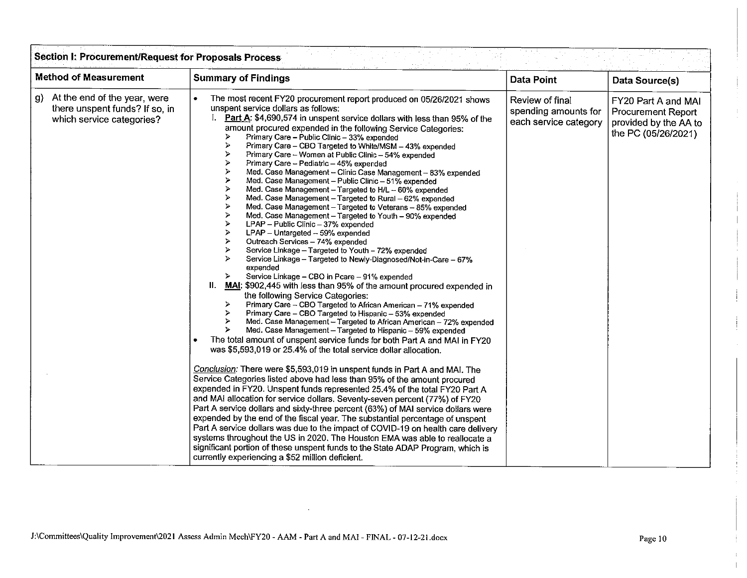| <b>Method of Measurement</b>                                                                        | <b>Summary of Findings</b>                                                                                                                                                                                                                                                                                                                                                                                                                                                                                                                                                                                                                                                                                                                                                                                                                                                                                                                                                                                                                                                                                                                                                                                                                                                                                                                                                                                                                                                                                                                                                                                                                                                                                                                                                                                                                                                                                                                                                                                                                                                                                                                                                                                                                                                                                                                                                                                                                                                                                                                                                                             | <b>Data Point</b>                                                | Data Source(s)                                                                                   |
|-----------------------------------------------------------------------------------------------------|--------------------------------------------------------------------------------------------------------------------------------------------------------------------------------------------------------------------------------------------------------------------------------------------------------------------------------------------------------------------------------------------------------------------------------------------------------------------------------------------------------------------------------------------------------------------------------------------------------------------------------------------------------------------------------------------------------------------------------------------------------------------------------------------------------------------------------------------------------------------------------------------------------------------------------------------------------------------------------------------------------------------------------------------------------------------------------------------------------------------------------------------------------------------------------------------------------------------------------------------------------------------------------------------------------------------------------------------------------------------------------------------------------------------------------------------------------------------------------------------------------------------------------------------------------------------------------------------------------------------------------------------------------------------------------------------------------------------------------------------------------------------------------------------------------------------------------------------------------------------------------------------------------------------------------------------------------------------------------------------------------------------------------------------------------------------------------------------------------------------------------------------------------------------------------------------------------------------------------------------------------------------------------------------------------------------------------------------------------------------------------------------------------------------------------------------------------------------------------------------------------------------------------------------------------------------------------------------------------|------------------------------------------------------------------|--------------------------------------------------------------------------------------------------|
| At the end of the year, were<br>g) -<br>there unspent funds? If so, in<br>which service categories? | The most recent FY20 procurement report produced on 05/26/2021 shows<br>unspent service dollars as follows:<br>Part A: \$4,690,574 in unspent service dollars with less than 95% of the<br>amount procured expended in the following Service Categories:<br>Primary Care - Public Clinic - 33% expended<br>⋗<br>⋗<br>Primary Care - CBO Targeted to White/MSM - 43% expended<br>⋗<br>Primary Care - Women at Public Clinic - 54% expended<br>≻<br>Primary Care - Pediatric - 45% expended<br>≻<br>Med. Case Management - Clinic Case Management - 83% expended<br>⋗<br>Med. Case Management - Public Clinic - 51% expended<br>≻<br>Med. Case Management - Targeted to H/L - 60% expended<br>ゝ<br>Med. Case Management - Targeted to Rural - 62% expended<br>⋗<br>Med. Case Management - Targeted to Veterans - 85% expended<br>≻<br>Med. Case Management - Targeted to Youth - 90% expended<br>⋗<br>LPAP - Public Clinic - 37% expended<br>⋗<br>LPAP - Untargeted - 59% expended<br>∢<br>Outreach Services - 74% expended<br>⋗<br>Service Linkage - Targeted to Youth - 72% expended<br>$\leq$<br>Service Linkage - Targeted to Newly-Diagnosed/Not-in-Care - 67%<br>expended<br>Service Linkage - CBO in Pcare - 91% expended<br>$\prec$<br>Ш.<br>MAI: \$902,445 with less than 95% of the amount procured expended in<br>the following Service Categories:<br>Primary Care - CBO Targeted to African American - 71% expended<br>≻<br>Primary Care - CBO Targeted to Hispanic - 53% expended<br>⋗<br>Med. Case Management - Targeted to African American - 72% expended<br>≻<br>≻<br>Med. Case Management - Targeted to Hispanic - 59% expended<br>The total amount of unspent service funds for both Part A and MAI in FY20<br>was \$5,593,019 or 25.4% of the total service dollar allocation.<br>Conclusion: There were \$5,593,019 in unspent funds in Part A and MAI. The<br>Service Categories listed above had less than 95% of the amount procured<br>expended in FY20. Unspent funds represented 25.4% of the total FY20 Part A<br>and MAI allocation for service dollars. Seventy-seven percent (77%) of FY20<br>Part A service dollars and sixty-three percent (63%) of MAI service dollars were<br>expended by the end of the fiscal year. The substantial percentage of unspent<br>Part A service dollars was due to the impact of COVID-19 on health care delivery<br>systems throughout the US in 2020. The Houston EMA was able to reallocate a<br>significant portion of these unspent funds to the State ADAP Program, which is<br>currently experiencing a \$52 million deficient. | Review of final<br>spending amounts for<br>each service category | FY20 Part A and MAI<br><b>Procurement Report</b><br>provided by the AA to<br>the PC (05/26/2021) |

 $\pm$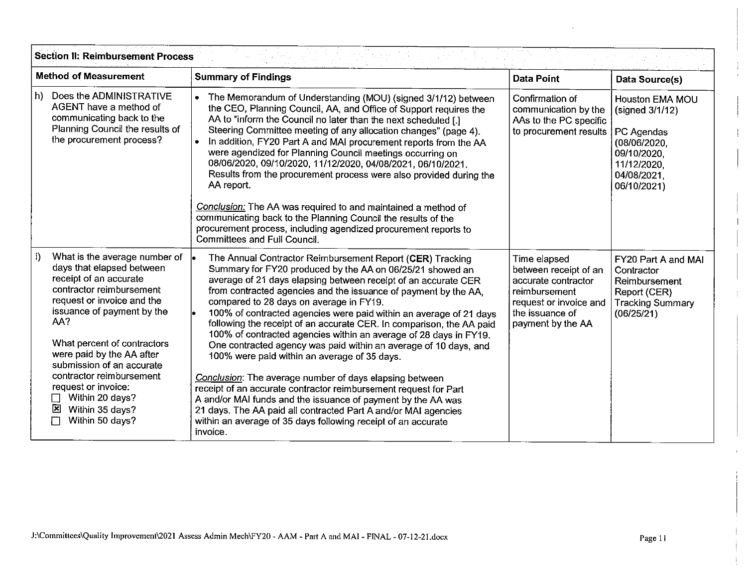| <b>Method of Measurement</b>                                                                                                                                                                                                                                                                                                                                                                                       | <b>Summary of Findings</b>                                                                                                                                                                                                                                                                                                                                                                                                                                                                                                                                                                                                                                                                                                                                                                                                                                                                                                                                                                  | <b>Data Point</b>                                                                                                                               | Data Source(s)                                                                                                               |  |
|--------------------------------------------------------------------------------------------------------------------------------------------------------------------------------------------------------------------------------------------------------------------------------------------------------------------------------------------------------------------------------------------------------------------|---------------------------------------------------------------------------------------------------------------------------------------------------------------------------------------------------------------------------------------------------------------------------------------------------------------------------------------------------------------------------------------------------------------------------------------------------------------------------------------------------------------------------------------------------------------------------------------------------------------------------------------------------------------------------------------------------------------------------------------------------------------------------------------------------------------------------------------------------------------------------------------------------------------------------------------------------------------------------------------------|-------------------------------------------------------------------------------------------------------------------------------------------------|------------------------------------------------------------------------------------------------------------------------------|--|
| Does the ADMINISTRATIVE<br>$\mathsf{h}$<br>AGENT have a method of<br>communicating back to the<br>Planning Council the results of<br>the procurement process?                                                                                                                                                                                                                                                      | The Memorandum of Understanding (MOU) (signed 3/1/12) between<br>$\bullet$<br>the CEO, Planning Council, AA, and Office of Support requires the<br>AA to "inform the Council no later than the next scheduled [.]<br>Steering Committee meeting of any allocation changes" (page 4).<br>In addition, FY20 Part A and MAI procurement reports from the AA<br>$\bullet$<br>were agendized for Planning Council meetings occurring on<br>08/06/2020, 09/10/2020, 11/12/2020, 04/08/2021, 06/10/2021.<br>Results from the procurement process were also provided during the<br>AA report.<br>Conclusion: The AA was required to and maintained a method of<br>communicating back to the Planning Council the results of the<br>procurement process, including agendized procurement reports to<br><b>Committees and Full Council.</b>                                                                                                                                                           | Confirmation of<br>communication by the<br>AAs to the PC specific<br>to procurement results                                                     | Houston EMA MOU<br>(signed 3/1/12)<br>PC Agendas<br>(08/06/2020,<br>09/10/2020.<br>11/12/2020.<br>04/08/2021,<br>06/10/2021) |  |
| i)<br>What is the average number of $\vert$ .<br>days that elapsed between<br>receipt of an accurate<br>contractor reimbursement<br>request or invoice and the<br>issuance of payment by the<br>AA?<br>What percent of contractors<br>were paid by the AA after<br>submission of an accurate<br>contractor reimbursement<br>request or invoice:<br>Within 20 days?<br>図<br>Within 35 days?<br>Within 50 days?<br>П | The Annual Contractor Reimbursement Report (CER) Tracking<br>Summary for FY20 produced by the AA on 06/25/21 showed an<br>average of 21 days elapsing between receipt of an accurate CER<br>from contracted agencies and the issuance of payment by the AA,<br>compared to 28 days on average in FY19.<br>100% of contracted agencies were paid within an average of 21 days<br>following the receipt of an accurate CER. In comparison, the AA paid<br>100% of contracted agencies within an average of 28 days in FY19.<br>One contracted agency was paid within an average of 10 days, and<br>100% were paid within an average of 35 days.<br>Conclusion: The average number of days elapsing between<br>receipt of an accurate contractor reimbursement request for Part<br>A and/or MAI funds and the issuance of payment by the AA was<br>21 days. The AA paid all contracted Part A and/or MAI agencies<br>within an average of 35 days following receipt of an accurate<br>invoice. | Time elapsed<br>between receipt of an<br>accurate contractor<br>reimbursement<br>request or invoice and<br>the issuance of<br>payment by the AA | FY20 Part A and MAI<br>Contractor<br>Reimbursement<br>Report (CER)<br><b>Tracking Summary</b><br>(06/25/21)                  |  |

 $\sim$